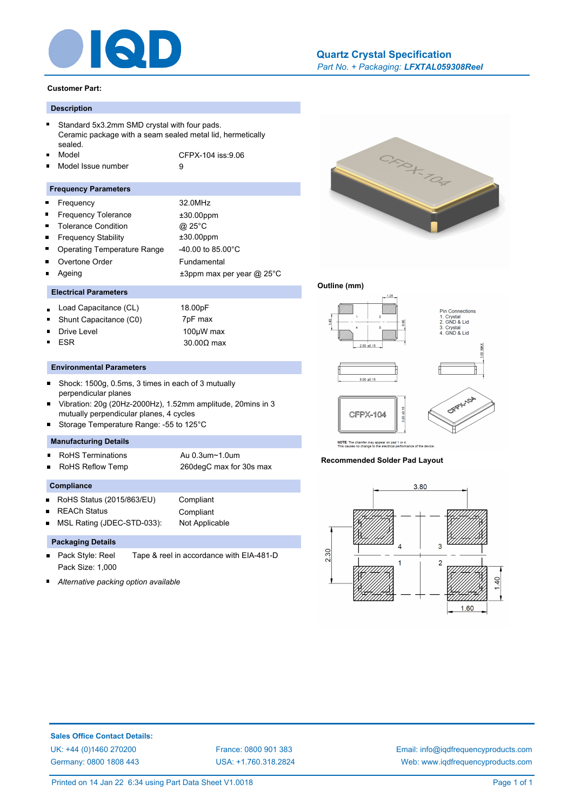

# *Part No. + Packaging: LFXTAL059308Reel* **[Quartz Crystal Specification](http://www.iqdfrequencyproducts.com/products/search/?type=tcxo-tcvcxo&model=All&product-features=All&package=All&frequency=All&frequency-uom=MHz&frequency-stability=All&temperature-range=All&output=All&voltage=All)**

#### **Customer Part:**

# **Description**

|  | Standard 5x3.2mm SMD crystal with four pads.<br>Ceramic package with a seam sealed metal lid, hermetically |                   |  |
|--|------------------------------------------------------------------------------------------------------------|-------------------|--|
|  |                                                                                                            |                   |  |
|  | sealed.                                                                                                    |                   |  |
|  | ■ Model                                                                                                    | CFPX-104 iss:9.06 |  |

Model Issue number 9

#### **Frequency Parameters**

| $\blacksquare$ | Frequency                          | 32.0MHz                         |
|----------------|------------------------------------|---------------------------------|
|                | <b>Frequency Tolerance</b>         | $±30.00$ ppm                    |
| $\blacksquare$ | <b>Tolerance Condition</b>         | @ 25°C                          |
| $\blacksquare$ | <b>Frequency Stability</b>         | $±30.00$ ppm                    |
| $\blacksquare$ | <b>Operating Temperature Range</b> | $-40.00$ to 85.00 $^{\circ}$ C  |
|                | Overtone Order                     | Fundamental                     |
|                | Ageing                             | $\pm 3$ ppm max per year @ 25°C |
|                |                                    |                                 |

# **Electrical Parameters**

- Load Capacitance (CL) 18.00pF  $\blacksquare$
- Shunt Capacitance (C0) 7pF max
- $\blacksquare$

 $\blacksquare$ 

Drive Level 100µW max ESR 30.00Ω max

## **Environmental Parameters**

- $\blacksquare$ Shock: 1500g, 0.5ms, 3 times in each of 3 mutually perpendicular planes
- Vibration: 20g (20Hz-2000Hz), 1.52mm amplitude, 20mins in 3 mutually perpendicular planes, 4 cycles
- Storage Temperature Range: -55 to 125°C

# **Manufacturing Details**

- RoHS Terminations **Au 0.3um~1.0um**  $\blacksquare$
- RoHS Reflow Temp 260degC max for 30s max

#### **Compliance**

- RoHS Status (2015/863/EU) Compliant
- REACh Status Compliant

MSL Rating (JDEC-STD-033): Not Applicable

# **Packaging Details**

- Pack Style: Reel Tape & reel in accordance with EIA-481-D  $\blacksquare$ Pack Size: 1,000
- *Alternative packing option available*



# **Outline (mm)**



**Recommended Solder Pad Layout**



**Sales Office Contact Details:** [UK: +44 \(0\)1460 270200](http://www.iqdfrequencyproducts.co.uk) [France: 0800 901 383](http://www.iqdfrequencyproducts.fr) [Germany: 0800 1808 443](http://www.iqdfrequencyproducts.de)

[USA: +1.760.318.2824](http://www.iqdfrequencyproducts.com)

[Email: info@iqdfrequencyproducts.com](mailto:info@iqdfrequencyproducts.com) [Web: www.iqdfrequencyproducts.com](http://www.iqdfrequencyproducts.com)